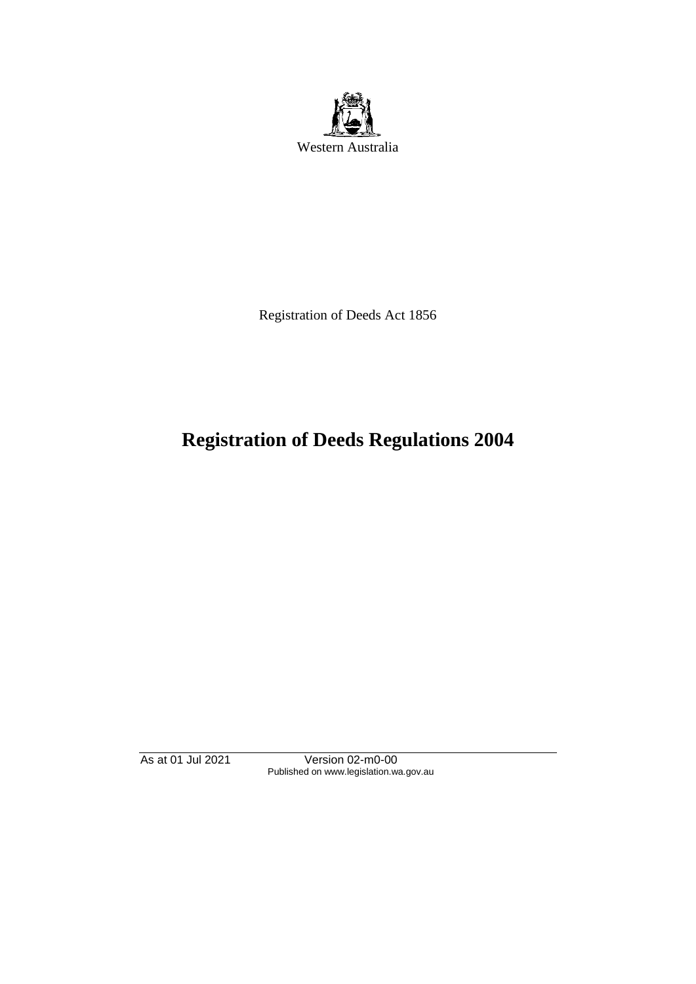

Registration of Deeds Act 1856

# **Registration of Deeds Regulations 2004**

As at 01 Jul 2021 Version 02-m0-00 Published on www.legislation.wa.gov.au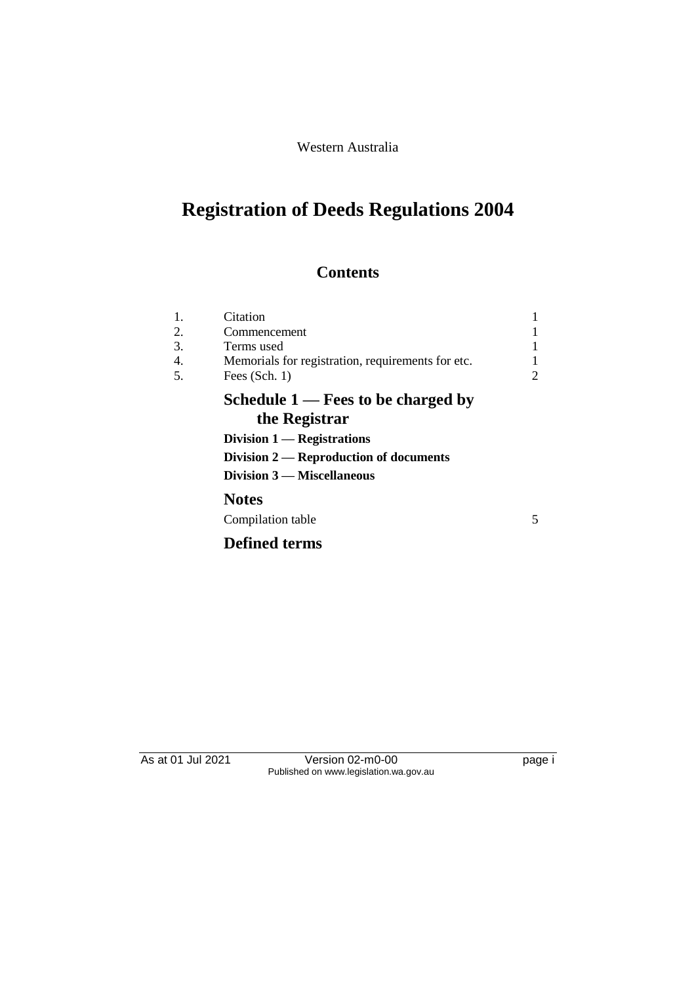Western Australia

# **Registration of Deeds Regulations 2004**

## **Contents**

| 1. | Citation                                              |   |
|----|-------------------------------------------------------|---|
| 2. | Commencement                                          |   |
| 3. | Terms used                                            |   |
| 4. | Memorials for registration, requirements for etc.     |   |
| 5. | Fees $(Sch. 1)$                                       | 2 |
|    | Schedule $1$ — Fees to be charged by<br>the Registrar |   |
|    | Division $1$ — Registrations                          |   |
|    | Division $2$ — Reproduction of documents              |   |
|    | Division 3 - Miscellaneous                            |   |
|    | <b>Notes</b>                                          |   |
|    | Compilation table                                     | 5 |
|    |                                                       |   |
|    | <b>Defined terms</b>                                  |   |
|    |                                                       |   |

As at 01 Jul 2021 Version 02-m0-00 Page i Published on www.legislation.wa.gov.au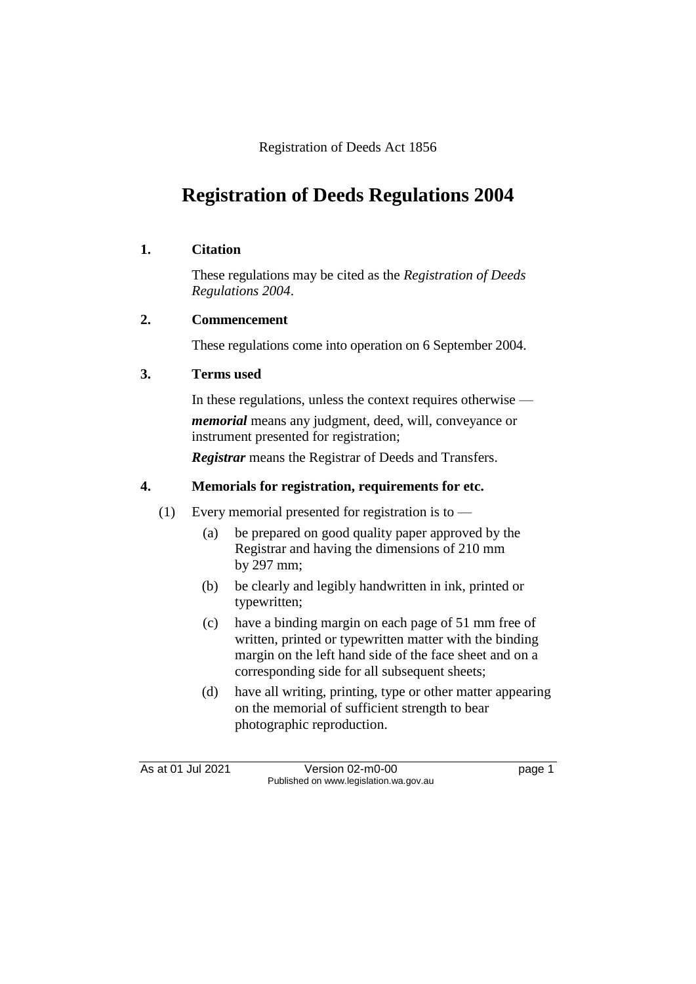Registration of Deeds Act 1856

## **Registration of Deeds Regulations 2004**

### **1. Citation**

These regulations may be cited as the *Registration of Deeds Regulations 2004*.

## **2. Commencement**

These regulations come into operation on 6 September 2004.

### **3. Terms used**

In these regulations, unless the context requires otherwise *memorial* means any judgment, deed, will, conveyance or instrument presented for registration;

*Registrar* means the Registrar of Deeds and Transfers.

## **4. Memorials for registration, requirements for etc.**

- (1) Every memorial presented for registration is to
	- (a) be prepared on good quality paper approved by the Registrar and having the dimensions of 210 mm by 297 mm;
	- (b) be clearly and legibly handwritten in ink, printed or typewritten;
	- (c) have a binding margin on each page of 51 mm free of written, printed or typewritten matter with the binding margin on the left hand side of the face sheet and on a corresponding side for all subsequent sheets;
	- (d) have all writing, printing, type or other matter appearing on the memorial of sufficient strength to bear photographic reproduction.

As at 01 Jul 2021 Version 02-m0-00 Page 1 Published on www.legislation.wa.gov.au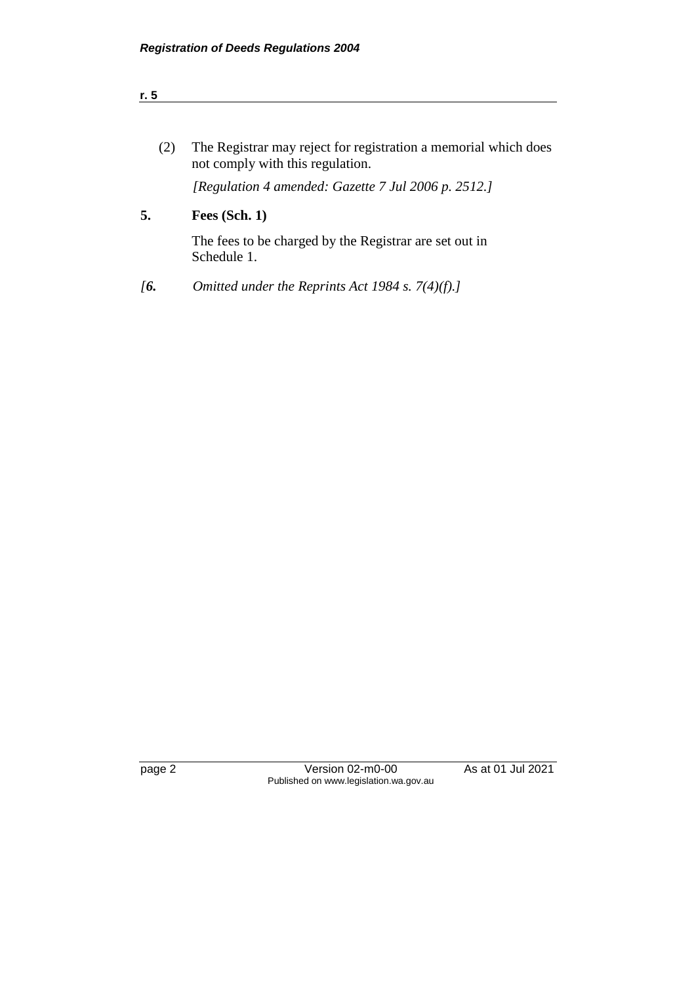not comply with this regulation.

(2) The Registrar may reject for registration a memorial which does

*[Regulation 4 amended: Gazette 7 Jul 2006 p. 2512.]*

page 2 Version 02-m0-00 As at 01 Jul 2021 Published on www.legislation.wa.gov.au

**5. Fees (Sch. 1)** The fees to be charged by the Registrar are set out in Schedule 1.

*[6. Omitted under the Reprints Act 1984 s. 7(4)(f).]*

**r. 5**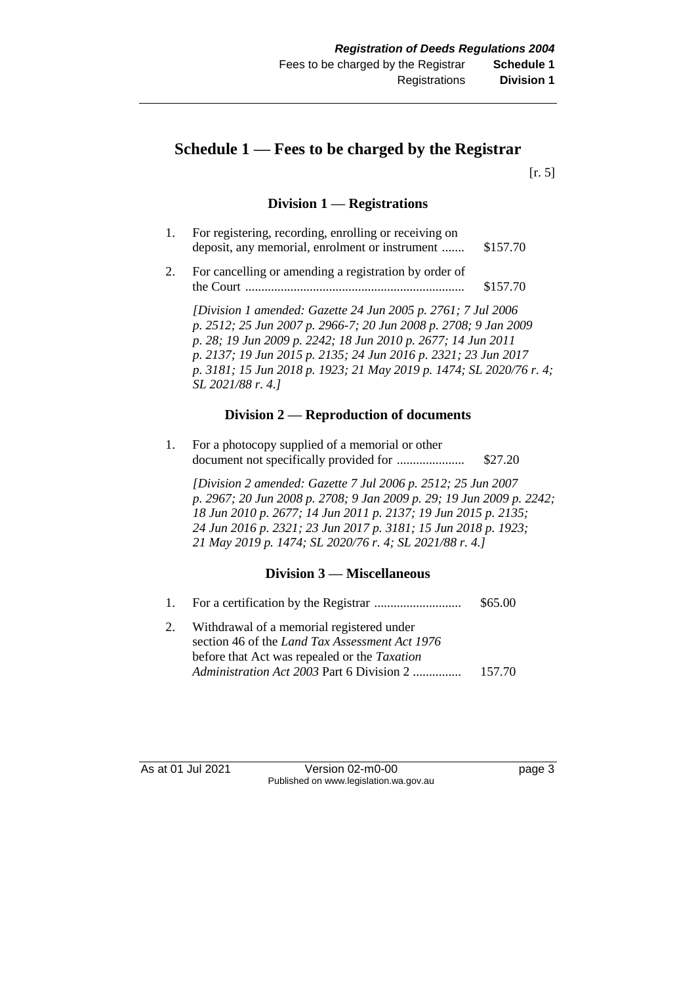## **Schedule 1 — Fees to be charged by the Registrar**

[r. 5]

#### **Division 1 — Registrations**

| 1. | For registering, recording, enrolling or receiving on<br>deposit, any memorial, enrolment or instrument                                                                                                                                                                                                                                                        | \$157.70 |
|----|----------------------------------------------------------------------------------------------------------------------------------------------------------------------------------------------------------------------------------------------------------------------------------------------------------------------------------------------------------------|----------|
| 2. | For cancelling or amending a registration by order of<br>the Court                                                                                                                                                                                                                                                                                             | \$157.70 |
|    | [Division 1 amended: Gazette 24 Jun 2005 p. 2761; 7 Jul 2006]<br>p. 2512; 25 Jun 2007 p. 2966-7; 20 Jun 2008 p. 2708; 9 Jan 2009<br>p. 28; 19 Jun 2009 p. 2242; 18 Jun 2010 p. 2677; 14 Jun 2011<br>p. 2137; 19 Jun 2015 p. 2135; 24 Jun 2016 p. 2321; 23 Jun 2017<br>p. 3181; 15 Jun 2018 p. 1923; 21 May 2019 p. 1474; SL 2020/76 r. 4;<br>SL 2021/88 r. 4.] |          |

#### **Division 2 — Reproduction of documents**

1. For a photocopy supplied of a memorial or other document not specifically provided for ..................... \$27.20

*[Division 2 amended: Gazette 7 Jul 2006 p. 2512; 25 Jun 2007 p. 2967; 20 Jun 2008 p. 2708; 9 Jan 2009 p. 29; 19 Jun 2009 p. 2242; 18 Jun 2010 p. 2677; 14 Jun 2011 p. 2137; 19 Jun 2015 p. 2135; 24 Jun 2016 p. 2321; 23 Jun 2017 p. 3181; 15 Jun 2018 p. 1923; 21 May 2019 p. 1474; SL 2020/76 r. 4; SL 2021/88 r. 4.]*

#### **Division 3 — Miscellaneous**

1. For a certification by the Registrar ........................... \$65.00 2. Withdrawal of a memorial registered under section 46 of the *Land Tax Assessment Act 1976* before that Act was repealed or the *Taxation Administration Act 2003* Part 6 Division 2 ............... 157.70

As at 01 Jul 2021 Version 02-m0-00 Page 3 Published on www.legislation.wa.gov.au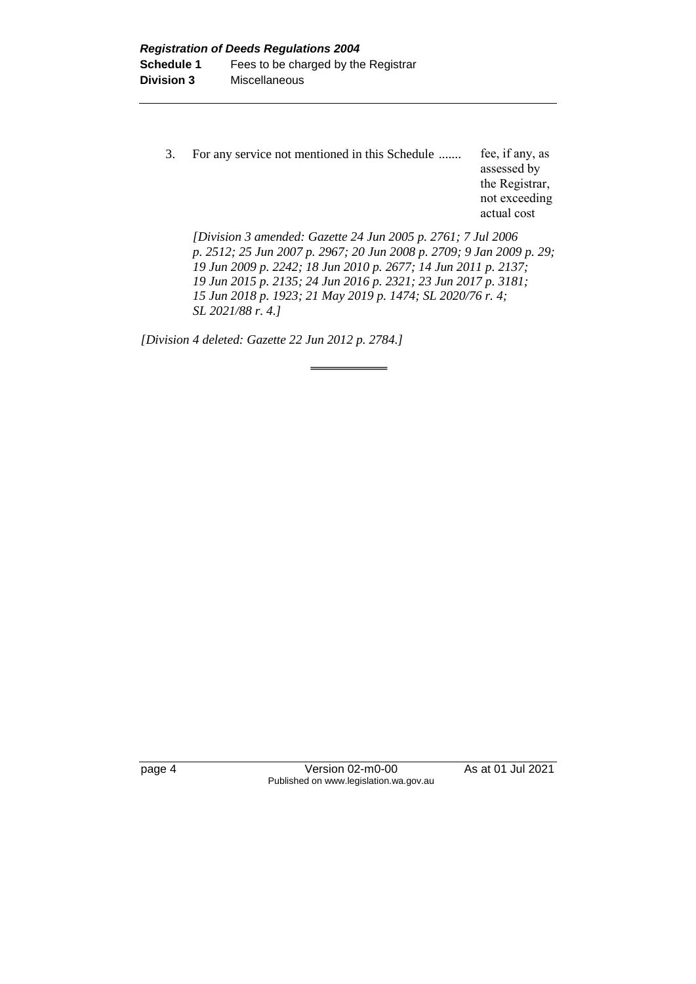3. For any service not mentioned in this Schedule ....... fee, if any, as assessed by the Registrar, not exceeding actual cost

*[Division 3 amended: Gazette 24 Jun 2005 p. 2761; 7 Jul 2006 p. 2512; 25 Jun 2007 p. 2967; 20 Jun 2008 p. 2709; 9 Jan 2009 p. 29; 19 Jun 2009 p. 2242; 18 Jun 2010 p. 2677; 14 Jun 2011 p. 2137; 19 Jun 2015 p. 2135; 24 Jun 2016 p. 2321; 23 Jun 2017 p. 3181; 15 Jun 2018 p. 1923; 21 May 2019 p. 1474; SL 2020/76 r. 4; SL 2021/88 r. 4.]*

*[Division 4 deleted: Gazette 22 Jun 2012 p. 2784.]*

page 4 Version 02-m0-00 As at 01 Jul 2021 Published on www.legislation.wa.gov.au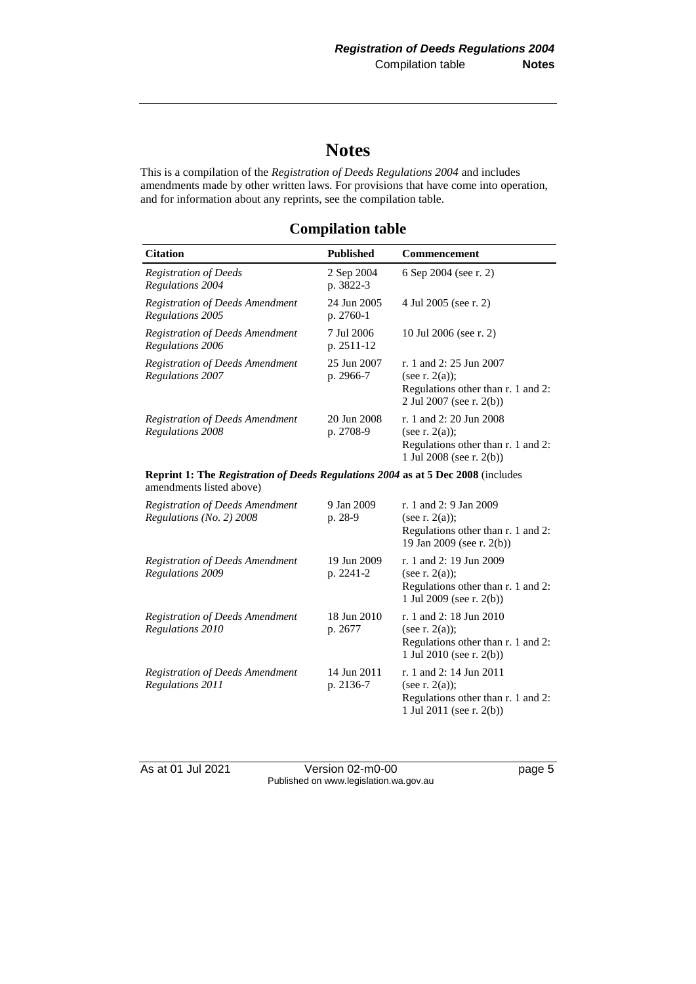## **Notes**

This is a compilation of the *Registration of Deeds Regulations 2004* and includes amendments made by other written laws. For provisions that have come into operation, and for information about any reprints, see the compilation table.

## **Compilation table**

| <b>Citation</b>                                                                                                     | <b>Published</b>         | <b>Commencement</b>                                                                                               |  |  |
|---------------------------------------------------------------------------------------------------------------------|--------------------------|-------------------------------------------------------------------------------------------------------------------|--|--|
| <b>Registration of Deeds</b><br>Regulations 2004                                                                    | 2 Sep 2004<br>p. 3822-3  | 6 Sep 2004 (see r. 2)                                                                                             |  |  |
| <b>Registration of Deeds Amendment</b><br>Regulations 2005                                                          | 24 Jun 2005<br>p. 2760-1 | 4 Jul 2005 (see r. 2)                                                                                             |  |  |
| <b>Registration of Deeds Amendment</b><br>Regulations 2006                                                          | 7 Jul 2006<br>p. 2511-12 | 10 Jul 2006 (see r. 2)                                                                                            |  |  |
| <b>Registration of Deeds Amendment</b><br><b>Regulations 2007</b>                                                   | 25 Jun 2007<br>p. 2966-7 | r. 1 and 2: 25 Jun 2007<br>(see r. $2(a)$ );<br>Regulations other than r. 1 and 2:<br>2 Jul 2007 (see r. 2(b))    |  |  |
| <b>Registration of Deeds Amendment</b><br>Regulations 2008                                                          | 20 Jun 2008<br>p. 2708-9 | r. 1 and 2: 20 Jun 2008<br>(see r. $2(a)$ );<br>Regulations other than r. 1 and 2:<br>1 Jul 2008 (see r. $2(b)$ ) |  |  |
| <b>Reprint 1: The Registration of Deeds Regulations 2004 as at 5 Dec 2008</b> (includes<br>amendments listed above) |                          |                                                                                                                   |  |  |
| <b>Registration of Deeds Amendment</b><br>Regulations (No. 2) 2008                                                  | 9 Jan 2009<br>p. 28-9    | r. 1 and 2: 9 Jan 2009<br>(see r. $2(a)$ );<br>Regulations other than r. 1 and 2:                                 |  |  |

|                                                     |                          | 19 Jan 2009 (see r. 2(b))                                                                                         |
|-----------------------------------------------------|--------------------------|-------------------------------------------------------------------------------------------------------------------|
| Registration of Deeds Amendment<br>Regulations 2009 | 19 Jun 2009<br>p. 2241-2 | r. 1 and 2: 19 Jun 2009<br>(see r. $2(a)$ );<br>Regulations other than r. 1 and 2:<br>1 Jul 2009 (see r. $2(b)$ ) |
| Registration of Deeds Amendment<br>Regulations 2010 | 18 Jun 2010<br>p. 2677   | r. 1 and 2: 18 Jun 2010<br>(see r. $2(a)$ );<br>Regulations other than r. 1 and 2:<br>1 Jul 2010 (see r. $2(b)$ ) |
| Registration of Deeds Amendment<br>Regulations 2011 | 14 Jun 2011<br>p. 2136-7 | r. 1 and 2: 14 Jun 2011<br>(see r. $2(a)$ );<br>Regulations other than r. 1 and 2:<br>1 Jul 2011 (see r. 2(b))    |

As at 01 Jul 2021 Version 02-m0-00 Page 5 Published on www.legislation.wa.gov.au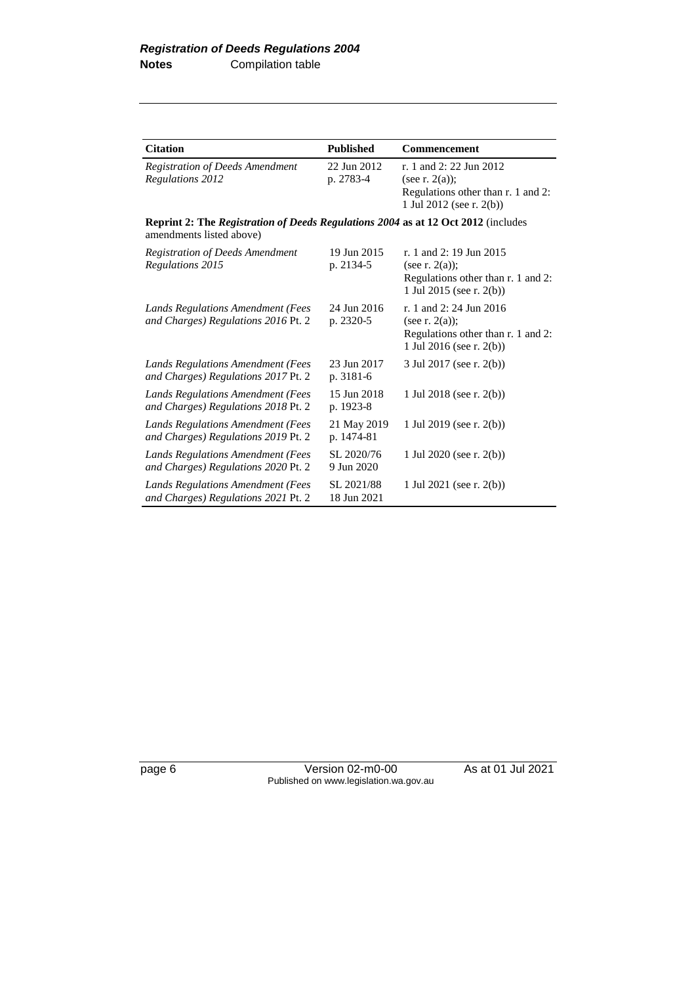| <b>Citation</b>                                                                                                      | <b>Published</b>          | <b>Commencement</b>                                                                                               |
|----------------------------------------------------------------------------------------------------------------------|---------------------------|-------------------------------------------------------------------------------------------------------------------|
| <b>Registration of Deeds Amendment</b><br>Regulations 2012                                                           | 22 Jun 2012<br>p. 2783-4  | r. 1 and 2: 22 Jun 2012<br>(see r. $2(a)$ );<br>Regulations other than r. 1 and 2:<br>1 Jul 2012 (see r. 2(b))    |
| <b>Reprint 2: The Registration of Deeds Regulations 2004 as at 12 Oct 2012</b> (includes<br>amendments listed above) |                           |                                                                                                                   |
| <b>Registration of Deeds Amendment</b><br>Regulations 2015                                                           | 19 Jun 2015<br>p. 2134-5  | r. 1 and 2: 19 Jun 2015<br>(see r. $2(a)$ );<br>Regulations other than r. 1 and 2:<br>1 Jul 2015 (see r. 2(b))    |
| Lands Regulations Amendment (Fees<br>and Charges) Regulations 2016 Pt. 2                                             | 24 Jun 2016<br>p. 2320-5  | r. 1 and 2: 24 Jun 2016<br>(see r. $2(a)$ );<br>Regulations other than r. 1 and 2:<br>1 Jul 2016 (see r. $2(b)$ ) |
| <b>Lands Regulations Amendment (Fees</b><br>and Charges) Regulations 2017 Pt. 2                                      | 23 Jun 2017<br>p. 3181-6  | 3 Jul 2017 (see r. 2(b))                                                                                          |
| Lands Regulations Amendment (Fees<br>and Charges) Regulations 2018 Pt. 2                                             | 15 Jun 2018<br>p. 1923-8  | 1 Jul 2018 (see r. 2(b))                                                                                          |
| Lands Regulations Amendment (Fees<br>and Charges) Regulations 2019 Pt. 2                                             | 21 May 2019<br>p. 1474-81 | 1 Jul 2019 (see r. 2(b))                                                                                          |
| <b>Lands Regulations Amendment (Fees</b><br>and Charges) Regulations 2020 Pt. 2                                      | SL 2020/76<br>9 Jun 2020  | 1 Jul 2020 (see r. $2(b)$ )                                                                                       |
| Lands Regulations Amendment (Fees<br>and Charges) Regulations 2021 Pt. 2                                             | SL 2021/88<br>18 Jun 2021 | 1 Jul 2021 (see r. 2(b))                                                                                          |

page 6 Version 02-m0-00 As at 01 Jul 2021 Published on www.legislation.wa.gov.au